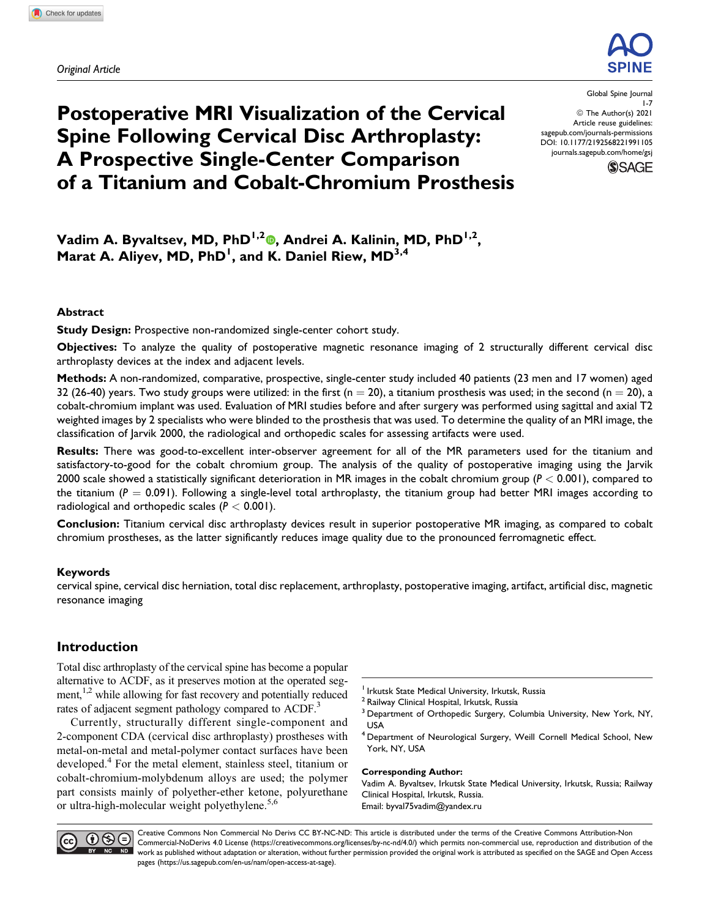*Original Article*



# **Postoperative MRI Visualization of the Cervical Spine Following Cervical Disc Arthroplasty: A Prospective Single-Center Comparison of a Titanium and Cobalt-Chromium Prosthesis**

Global Spine Journal 1-7 ª The Author(s) 2021 Article reuse guidelines: [sagepub.com/journals-permissions](https://sagepub.com/journals-permissions) [DOI: 10.1177/2192568221991105](https://doi.org/10.1177/2192568221991105) [journals.sagepub.com/home/gsj](http://journals.sagepub.com/home/gsj)



Vadim A. Byvaltsev[,](https://orcid.org/0000-0003-4349-7101) MD, PhD<sup>1,2</sup><sup>®</sup>, Andrei A. Kalinin, MD, PhD<sup>1,2</sup>, **Marat A. Aliyev, MD, PhD<sup>1</sup> , and K. Daniel Riew, MD3,4**

#### **Abstract**

**Study Design:** Prospective non-randomized single-center cohort study.

**Objectives:** To analyze the quality of postoperative magnetic resonance imaging of 2 structurally different cervical disc arthroplasty devices at the index and adjacent levels.

**Methods:** A non-randomized, comparative, prospective, single-center study included 40 patients (23 men and 17 women) aged 32 (26-40) years. Two study groups were utilized: in the first ( $n = 20$ ), a titanium prosthesis was used; in the second ( $n = 20$ ), a cobalt-chromium implant was used. Evaluation of MRI studies before and after surgery was performed using sagittal and axial T2 weighted images by 2 specialists who were blinded to the prosthesis that was used. To determine the quality of an MRI image, the classification of Jarvik 2000, the radiological and orthopedic scales for assessing artifacts were used.

**Results:** There was good-to-excellent inter-observer agreement for all of the MR parameters used for the titanium and satisfactory-to-good for the cobalt chromium group. The analysis of the quality of postoperative imaging using the Jarvik 2000 scale showed a statistically significant deterioration in MR images in the cobalt chromium group (*P* < 0.001), compared to the titanium  $(P = 0.091)$ . Following a single-level total arthroplasty, the titanium group had better MRI images according to radiological and orthopedic scales (*P* < 0.001).

**Conclusion:** Titanium cervical disc arthroplasty devices result in superior postoperative MR imaging, as compared to cobalt chromium prostheses, as the latter significantly reduces image quality due to the pronounced ferromagnetic effect.

#### **Keywords**

cervical spine, cervical disc herniation, total disc replacement, arthroplasty, postoperative imaging, artifact, artificial disc, magnetic resonance imaging

# **Introduction**

Total disc arthroplasty of the cervical spine has become a popular alternative to ACDF, as it preserves motion at the operated segment,<sup>1,2</sup> while allowing for fast recovery and potentially reduced rates of adjacent segment pathology compared to ACDF.<sup>3</sup>

Currently, structurally different single-component and 2-component CDA (cervical disc arthroplasty) prostheses with metal-on-metal and metal-polymer contact surfaces have been developed.<sup>4</sup> For the metal element, stainless steel, titanium or cobalt-chromium-molybdenum alloys are used; the polymer part consists mainly of polyether-ether ketone, polyurethane or ultra-high-molecular weight polyethylene.<sup>5,6</sup>

- <sup>1</sup> Irkutsk State Medical University, Irkutsk, Russia
- <sup>2</sup> Railway Clinical Hospital, Irkutsk, Russia
- <sup>3</sup> Department of Orthopedic Surgery, Columbia University, New York, NY, USA
- <sup>4</sup> Department of Neurological Surgery, Weill Cornell Medical School, New York, NY, USA

#### **Corresponding Author:**

Vadim A. Byvaltsev, Irkutsk State Medical University, Irkutsk, Russia; Railway Clinical Hospital, Irkutsk, Russia. Email: [byval75vadim@yandex.ru](mailto:byval75vadim@yandex.ru)



Creative Commons Non Commercial No Derivs CC BY-NC-ND: This article is distributed under the terms of the Creative Commons Attribution-Non Commercial-NoDerivs 4.0 License ([https://creativecommons.org/licenses/by-nc-nd/4.0/\)](https://creativecommons.org/licenses/by-nc-nd/4.0/) which permits non-commercial use, reproduction and distribution of the work as published without adaptation or alteration, without further permission provided the original work is attributed as specified on the SAGE and Open Access pages [\(https://us.sagepub.com/en-us/nam/open-access-at-sage](https://us.sagepub.com/en-us/nam/open-access-at-sage)).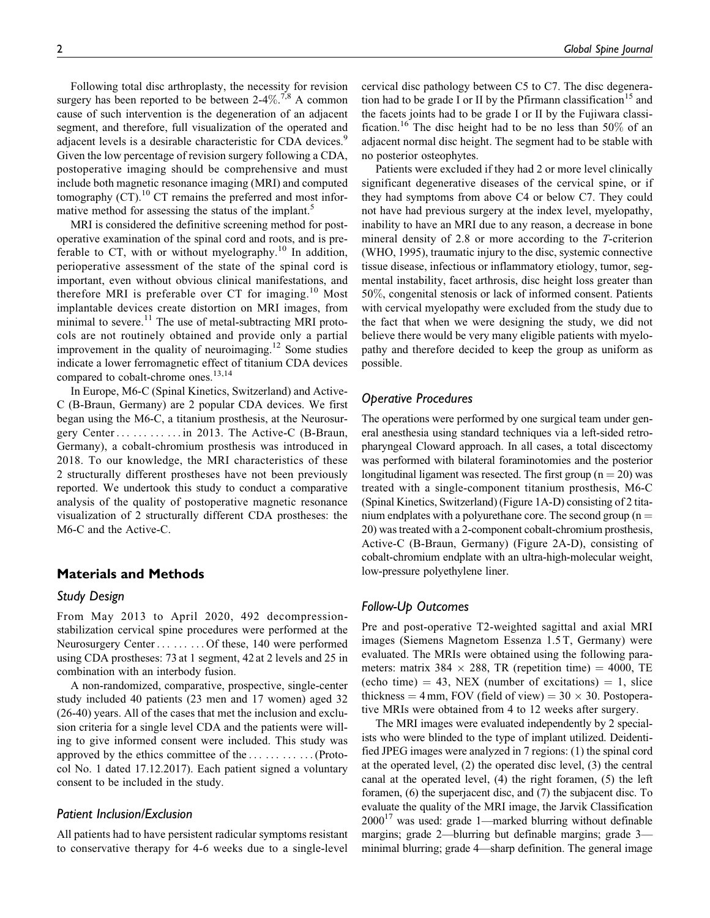Following total disc arthroplasty, the necessity for revision surgery has been reported to be between  $2-4\%$ .<sup>7,8</sup> A common cause of such intervention is the degeneration of an adjacent segment, and therefore, full visualization of the operated and adjacent levels is a desirable characteristic for CDA devices.<sup>9</sup> Given the low percentage of revision surgery following a CDA, postoperative imaging should be comprehensive and must include both magnetic resonance imaging (MRI) and computed tomography  $(CT)$ .<sup>10</sup> CT remains the preferred and most informative method for assessing the status of the implant.<sup>5</sup>

MRI is considered the definitive screening method for postoperative examination of the spinal cord and roots, and is preferable to CT, with or without myelography.<sup>10</sup> In addition, perioperative assessment of the state of the spinal cord is important, even without obvious clinical manifestations, and therefore MRI is preferable over CT for imaging.<sup>10</sup> Most implantable devices create distortion on MRI images, from minimal to severe.<sup>11</sup> The use of metal-subtracting MRI protocols are not routinely obtained and provide only a partial improvement in the quality of neuroimaging.<sup>12</sup> Some studies indicate a lower ferromagnetic effect of titanium CDA devices compared to cobalt-chrome ones.<sup>13,14</sup>

In Europe, M6-C (Spinal Kinetics, Switzerland) and Active-C (B-Braun, Germany) are 2 popular CDA devices. We first began using the M6-C, a titanium prosthesis, at the Neurosurgery Center ... ... ... ... in 2013. The Active-C (B-Braun, Germany), a cobalt-chromium prosthesis was introduced in 2018. To our knowledge, the MRI characteristics of these 2 structurally different prostheses have not been previously reported. We undertook this study to conduct a comparative analysis of the quality of postoperative magnetic resonance visualization of 2 structurally different CDA prostheses: the M6-C and the Active-C.

# **Materials and Methods**

#### *Study Design*

From May 2013 to April 2020, 492 decompressionstabilization cervical spine procedures were performed at the Neurosurgery Center ... ... ... Of these, 140 were performed using CDA prostheses: 73 at 1 segment, 42 at 2 levels and 25 in combination with an interbody fusion.

A non-randomized, comparative, prospective, single-center study included 40 patients (23 men and 17 women) aged 32 (26-40) years. All of the cases that met the inclusion and exclusion criteria for a single level CDA and the patients were willing to give informed consent were included. This study was approved by the ethics committee of the ... ... ... ... (Protocol No. 1 dated 17.12.2017). Each patient signed a voluntary consent to be included in the study.

#### *Patient Inclusion/Exclusion*

All patients had to have persistent radicular symptoms resistant to conservative therapy for 4-6 weeks due to a single-level cervical disc pathology between C5 to C7. The disc degeneration had to be grade I or II by the Pfirmann classification<sup>15</sup> and the facets joints had to be grade I or II by the Fujiwara classification.<sup>16</sup> The disc height had to be no less than 50% of an adjacent normal disc height. The segment had to be stable with no posterior osteophytes.

Patients were excluded if they had 2 or more level clinically significant degenerative diseases of the cervical spine, or if they had symptoms from above C4 or below C7. They could not have had previous surgery at the index level, myelopathy, inability to have an MRI due to any reason, a decrease in bone mineral density of 2.8 or more according to the T-criterion (WHO, 1995), traumatic injury to the disc, systemic connective tissue disease, infectious or inflammatory etiology, tumor, segmental instability, facet arthrosis, disc height loss greater than 50%, congenital stenosis or lack of informed consent. Patients with cervical myelopathy were excluded from the study due to the fact that when we were designing the study, we did not believe there would be very many eligible patients with myelopathy and therefore decided to keep the group as uniform as possible.

#### *Operative Procedures*

The operations were performed by one surgical team under general anesthesia using standard techniques via a left-sided retropharyngeal Cloward approach. In all cases, a total discectomy was performed with bilateral foraminotomies and the posterior longitudinal ligament was resected. The first group  $(n = 20)$  was treated with a single-component titanium prosthesis, M6-C (Spinal Kinetics, Switzerland) (Figure 1A-D) consisting of 2 titanium endplates with a polyurethane core. The second group  $(n =$ 20) was treated with a 2-component cobalt-chromium prosthesis, Active-C (B-Braun, Germany) (Figure 2A-D), consisting of cobalt-chromium endplate with an ultra-high-molecular weight, low-pressure polyethylene liner.

#### *Follow-Up Outcomes*

Pre and post-operative T2-weighted sagittal and axial MRI images (Siemens Magnetom Essenza 1.5 T, Germany) were evaluated. The MRIs were obtained using the following parameters: matrix 384  $\times$  288, TR (repetition time) = 4000, TE (echo time)  $= 43$ , NEX (number of excitations)  $= 1$ , slice thickness =  $4 \text{ mm}$ , FOV (field of view) =  $30 \times 30$ . Postoperative MRIs were obtained from 4 to 12 weeks after surgery.

The MRI images were evaluated independently by 2 specialists who were blinded to the type of implant utilized. Deidentified JPEG images were analyzed in 7 regions: (1) the spinal cord at the operated level, (2) the operated disc level, (3) the central canal at the operated level, (4) the right foramen, (5) the left foramen, (6) the superjacent disc, and (7) the subjacent disc. To evaluate the quality of the MRI image, the Jarvik Classification  $2000^{17}$  was used: grade 1—marked blurring without definable margins; grade 2—blurring but definable margins; grade 3 minimal blurring; grade 4—sharp definition. The general image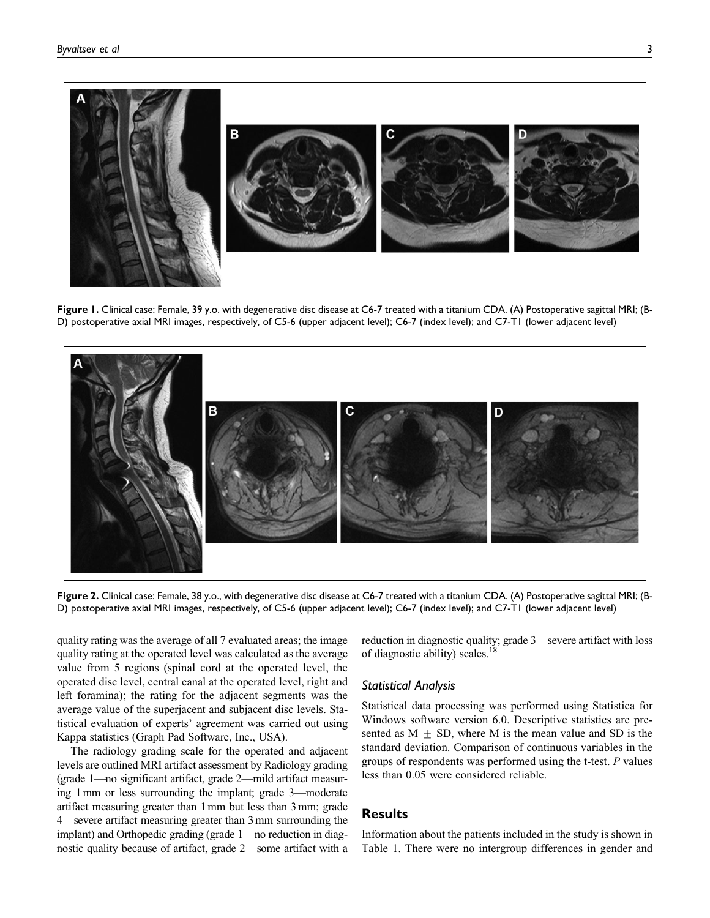

**Figure 1.** Clinical case: Female, 39 y.o. with degenerative disc disease at C6-7 treated with a titanium CDA. (A) Postoperative sagittal MRI; (B-D) postoperative axial MRI images, respectively, of C5-6 (upper adjacent level); C6-7 (index level); and C7-T1 (lower adjacent level)



**Figure 2.** Clinical case: Female, 38 y.o., with degenerative disc disease at C6-7 treated with a titanium CDA. (A) Postoperative sagittal MRI; (B-D) postoperative axial MRI images, respectively, of C5-6 (upper adjacent level); C6-7 (index level); and C7-T1 (lower adjacent level)

quality rating was the average of all 7 evaluated areas; the image quality rating at the operated level was calculated as the average value from 5 regions (spinal cord at the operated level, the operated disc level, central canal at the operated level, right and left foramina); the rating for the adjacent segments was the average value of the superjacent and subjacent disc levels. Statistical evaluation of experts' agreement was carried out using Kappa statistics (Graph Pad Software, Inc., USA).

The radiology grading scale for the operated and adjacent levels are outlined MRI artifact assessment by Radiology grading (grade 1—no significant artifact, grade 2—mild artifact measuring 1 mm or less surrounding the implant; grade 3—moderate artifact measuring greater than 1 mm but less than 3 mm; grade 4—severe artifact measuring greater than 3mm surrounding the implant) and Orthopedic grading (grade 1—no reduction in diagnostic quality because of artifact, grade 2—some artifact with a reduction in diagnostic quality; grade 3—severe artifact with loss of diagnostic ability) scales.<sup>18</sup>

#### *Statistical Analysis*

Statistical data processing was performed using Statistica for Windows software version 6.0. Descriptive statistics are presented as  $M + SD$ , where M is the mean value and SD is the standard deviation. Comparison of continuous variables in the groups of respondents was performed using the t-test. P values less than 0.05 were considered reliable.

#### **Results**

Information about the patients included in the study is shown in Table 1. There were no intergroup differences in gender and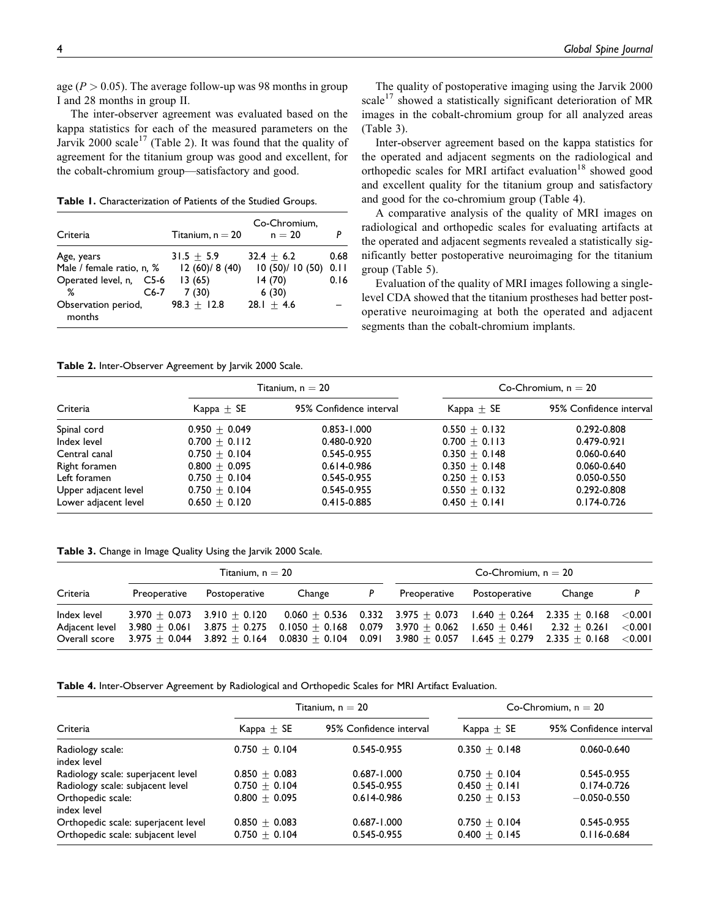age ( $P > 0.05$ ). The average follow-up was 98 months in group I and 28 months in group II.

The inter-observer agreement was evaluated based on the kappa statistics for each of the measured parameters on the Jarvik 2000 scale<sup>17</sup> (Table 2). It was found that the quality of agreement for the titanium group was good and excellent, for the cobalt-chromium group—satisfactory and good.

**Table 1.** Characterization of Patients of the Studied Groups.

| Criteria                      |        | Titanium, $n = 20$ | Co-Chromium.<br>$n = 20$ |      |  |
|-------------------------------|--------|--------------------|--------------------------|------|--|
| Age, years                    |        | $31.5 + 5.9$       | $32.4 + 6.2$             | 0.68 |  |
| Male / female ratio, n, %     |        | 12(60)/8(40)       | 10(50)/10(50)            | 0.11 |  |
| Operated level, n, C5-6       |        | 13(65)             | 14(70)                   | 0.16 |  |
| ℅                             | $C6-7$ | 7(30)              | 6(30)                    |      |  |
| Observation period,<br>months |        | $98.3 + 12.8$      | $28.1 + 4.6$             |      |  |

The quality of postoperative imaging using the Jarvik 2000 scale<sup>17</sup> showed a statistically significant deterioration of MR images in the cobalt-chromium group for all analyzed areas (Table 3).

Inter-observer agreement based on the kappa statistics for the operated and adjacent segments on the radiological and orthopedic scales for MRI artifact evaluation<sup>18</sup> showed good and excellent quality for the titanium group and satisfactory and good for the co-chromium group (Table 4).

A comparative analysis of the quality of MRI images on radiological and orthopedic scales for evaluating artifacts at the operated and adjacent segments revealed a statistically significantly better postoperative neuroimaging for the titanium group (Table 5).

Evaluation of the quality of MRI images following a singlelevel CDA showed that the titanium prostheses had better postoperative neuroimaging at both the operated and adjacent segments than the cobalt-chromium implants.

**Table 2.** Inter-Observer Agreement by Jarvik 2000 Scale.

|                      |                   | Titanium, n $= 20$      | Co-Chromium, $n = 20$ |                         |  |
|----------------------|-------------------|-------------------------|-----------------------|-------------------------|--|
| Criteria             | $Kappa \pm SE$    | 95% Confidence interval | Kappa $\pm$ SE        | 95% Confidence interval |  |
| Spinal cord          | $0.950 \pm 0.049$ | $0.853 - 1.000$         | $0.550 + 0.132$       | 0.292-0.808             |  |
| Index level          | $0.700 + 0.112$   | 0.480-0.920             | $0.700 + 0.113$       | $0.479 - 0.921$         |  |
| Central canal        | $0.750 + 0.104$   | 0.545-0.955             | $0.350 + 0.148$       | 0.060-0.640             |  |
| Right foramen        | $0.800 + 0.095$   | $0.614 - 0.986$         | $0.350 + 0.148$       | 0.060-0.640             |  |
| Left foramen         | $0.750 + 0.104$   | 0.545-0.955             | $0.250 + 0.153$       | 0.050-0.550             |  |
| Upper adjacent level | $0.750 + 0.104$   | 0.545-0.955             | $0.550 + 0.132$       | 0.292-0.808             |  |
| Lower adjacent level | $0.650 + 0.120$   | $0.415 - 0.885$         | $0.450 + 0.141$       | 0.174-0.726             |  |

|  | Table 3. Change in Image Quality Using the Jarvik 2000 Scale. |  |  |  |  |  |  |
|--|---------------------------------------------------------------|--|--|--|--|--|--|
|--|---------------------------------------------------------------|--|--|--|--|--|--|

|                                                | Titanium. $n = 20$ |               |                                                                                                                                                                                                                                                                                                                                                          |   | Co-Chromium, $n = 20$ |               |        |           |
|------------------------------------------------|--------------------|---------------|----------------------------------------------------------------------------------------------------------------------------------------------------------------------------------------------------------------------------------------------------------------------------------------------------------------------------------------------------------|---|-----------------------|---------------|--------|-----------|
| Criteria                                       | Preoperative       | Postoperative | Change                                                                                                                                                                                                                                                                                                                                                   | P | Preoperative          | Postoperative | Change |           |
| Index level<br>Adiacent level<br>Overall score |                    |               | $3.970 + 0.073$ $3.910 + 0.120$ $0.060 + 0.536$ $0.332$ $3.975 + 0.073$ $1.640 + 0.264$ $2.335 + 0.168$ $\langle 0.001$<br>$3.980 + 0.061$ $3.875 + 0.275$ $0.1050 + 0.168$ $0.079$ $3.970 + 0.062$ $1.650 + 0.461$ $2.32 + 0.261$<br>$3.975 + 0.044$ $3.892 + 0.164$ $0.0830 + 0.104$ $0.091$ $3.980 + 0.057$ $1.645 + 0.279$ $2.335 + 0.168$ $< 0.001$ |   |                       |               |        | $<$ 0.001 |

**Table 4.** Inter-Observer Agreement by Radiological and Orthopedic Scales for MRI Artifact Evaluation.

|                                                                          |                                    | Titanium, $n = 20$             | Co-Chromium, $n = 20$              |                                |  |
|--------------------------------------------------------------------------|------------------------------------|--------------------------------|------------------------------------|--------------------------------|--|
| Criteria                                                                 | $Kappa \pm SE$                     | 95% Confidence interval        | Kappa $\pm$ SE                     | 95% Confidence interval        |  |
| Radiology scale:<br>index level                                          | $0.750 + 0.104$                    | 0.545-0.955                    | $0.350 + 0.148$                    | 0.060-0.640                    |  |
| Radiology scale: superjacent level                                       | $0.850 + 0.083$                    | $0.687 - 1.000$                | $0.750 + 0.104$                    | 0.545-0.955                    |  |
| Radiology scale: subjacent level                                         | $0.750 + 0.104$                    | 0.545-0.955                    | $0.450 + 0.141$                    | $0.174 - 0.726$                |  |
| Orthopedic scale:<br>index level                                         | $0.800 + 0.095$                    | $0.614 - 0.986$                | $0.250 + 0.153$                    | $-0.050 - 0.550$               |  |
| Orthopedic scale: superjacent level<br>Orthopedic scale: subjacent level | $0.850 + 0.083$<br>$0.750 + 0.104$ | $0.687 - 1.000$<br>0.545-0.955 | $0.750 + 0.104$<br>$0.400 + 0.145$ | 0.545-0.955<br>$0.116 - 0.684$ |  |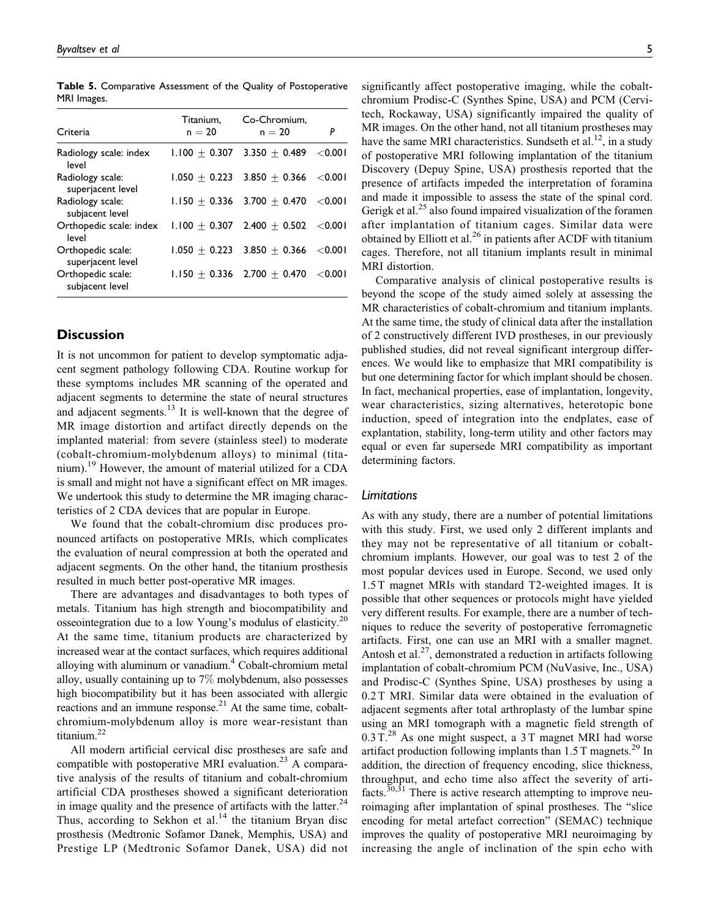Criteria Titanium,  $n = 20$ Co-Chromium,  $n = 20$  *P* Radiology scale: index level  $1.100 \pm 0.307$  3.350  $\pm$  0.489 <0.001 Radiology scale: superjacent level  $1.050 \pm 0.223$  3.850  $\pm$  0.366 <0.001 Radiology scale: subjacent level  $1.150 \pm 0.336$  3.700  $\pm$  0.470 <0.001 Orthopedic scale: index level  $1.100 \pm 0.307$  2.400  $\pm$  0.502 < 0.001 Orthopedic scale: superjacent level  $1.050 \pm 0.223$  3.850  $\pm$  0.366 <0.001 Orthopedic scale: subjacent level  $1.150 \pm 0.336$  2.700  $\pm$  0.470 <0.001

**Table 5.** Comparative Assessment of the Quality of Postoperative MRI Images.

### **Discussion**

It is not uncommon for patient to develop symptomatic adjacent segment pathology following CDA. Routine workup for these symptoms includes MR scanning of the operated and adjacent segments to determine the state of neural structures and adjacent segments.<sup>13</sup> It is well-known that the degree of MR image distortion and artifact directly depends on the implanted material: from severe (stainless steel) to moderate (cobalt-chromium-molybdenum alloys) to minimal (titanium).<sup>19</sup> However, the amount of material utilized for a CDA is small and might not have a significant effect on MR images. We undertook this study to determine the MR imaging characteristics of 2 CDA devices that are popular in Europe.

We found that the cobalt-chromium disc produces pronounced artifacts on postoperative MRIs, which complicates the evaluation of neural compression at both the operated and adjacent segments. On the other hand, the titanium prosthesis resulted in much better post-operative MR images.

There are advantages and disadvantages to both types of metals. Titanium has high strength and biocompatibility and osseointegration due to a low Young's modulus of elasticity.<sup>20</sup> At the same time, titanium products are characterized by increased wear at the contact surfaces, which requires additional alloying with aluminum or vanadium.<sup>4</sup> Cobalt-chromium metal alloy, usually containing up to 7% molybdenum, also possesses high biocompatibility but it has been associated with allergic reactions and an immune response.<sup>21</sup> At the same time, cobaltchromium-molybdenum alloy is more wear-resistant than titanium.22

All modern artificial cervical disc prostheses are safe and compatible with postoperative MRI evaluation.<sup>23</sup> A comparative analysis of the results of titanium and cobalt-chromium artificial CDA prostheses showed a significant deterioration in image quality and the presence of artifacts with the latter.<sup>24</sup> Thus, according to Sekhon et al. $^{14}$  the titanium Bryan disc prosthesis (Medtronic Sofamor Danek, Memphis, USA) and Prestige LP (Medtronic Sofamor Danek, USA) did not significantly affect postoperative imaging, while the cobaltchromium Prodisc-C (Synthes Spine, USA) and PCM (Cervitech, Rockaway, USA) significantly impaired the quality of MR images. On the other hand, not all titanium prostheses may have the same MRI characteristics. Sundseth et al.<sup>12</sup>, in a study of postoperative MRI following implantation of the titanium Discovery (Depuy Spine, USA) prosthesis reported that the presence of artifacts impeded the interpretation of foramina and made it impossible to assess the state of the spinal cord. Gerigk et al.<sup>25</sup> also found impaired visualization of the foramen after implantation of titanium cages. Similar data were obtained by Elliott et al.<sup>26</sup> in patients after ACDF with titanium cages. Therefore, not all titanium implants result in minimal MRI distortion.

Comparative analysis of clinical postoperative results is beyond the scope of the study aimed solely at assessing the MR characteristics of cobalt-chromium and titanium implants. At the same time, the study of clinical data after the installation of 2 constructively different IVD prostheses, in our previously published studies, did not reveal significant intergroup differences. We would like to emphasize that MRI compatibility is but one determining factor for which implant should be chosen. In fact, mechanical properties, ease of implantation, longevity, wear characteristics, sizing alternatives, heterotopic bone induction, speed of integration into the endplates, ease of explantation, stability, long-term utility and other factors may equal or even far supersede MRI compatibility as important determining factors.

#### *Limitations*

As with any study, there are a number of potential limitations with this study. First, we used only 2 different implants and they may not be representative of all titanium or cobaltchromium implants. However, our goal was to test 2 of the most popular devices used in Europe. Second, we used only 1.5 T magnet MRIs with standard T2-weighted images. It is possible that other sequences or protocols might have yielded very different results. For example, there are a number of techniques to reduce the severity of postoperative ferromagnetic artifacts. First, one can use an MRI with a smaller magnet. Antosh et al.<sup>27</sup>, demonstrated a reduction in artifacts following implantation of cobalt-chromium PCM (NuVasive, Inc., USA) and Prodisc-C (Synthes Spine, USA) prostheses by using a 0.2 T MRI. Similar data were obtained in the evaluation of adjacent segments after total arthroplasty of the lumbar spine using an MRI tomograph with a magnetic field strength of  $0.3$  T.<sup>28</sup> As one might suspect, a 3 T magnet MRI had worse artifact production following implants than  $1.5$  T magnets.<sup>29</sup> In addition, the direction of frequency encoding, slice thickness, throughput, and echo time also affect the severity of artifacts.<sup>30,31</sup> There is active research attempting to improve neuroimaging after implantation of spinal prostheses. The "slice encoding for metal artefact correction" (SEMAC) technique improves the quality of postoperative MRI neuroimaging by increasing the angle of inclination of the spin echo with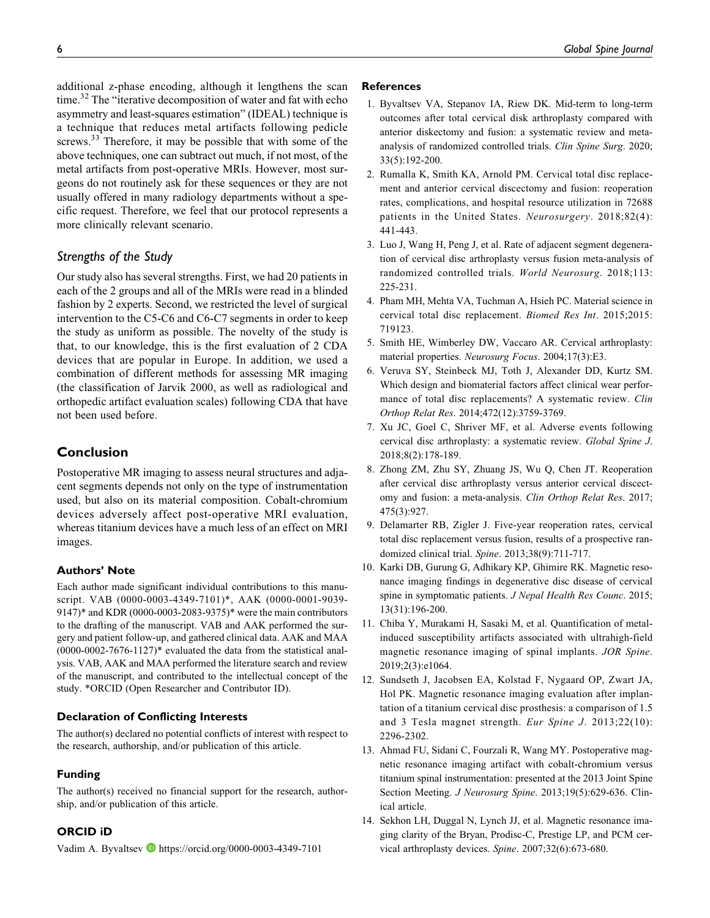additional z-phase encoding, although it lengthens the scan time.<sup>32</sup> The "iterative decomposition of water and fat with echo asymmetry and least-squares estimation" (IDEAL) technique is a technique that reduces metal artifacts following pedicle screws.<sup>33</sup> Therefore, it may be possible that with some of the above techniques, one can subtract out much, if not most, of the metal artifacts from post-operative MRIs. However, most surgeons do not routinely ask for these sequences or they are not usually offered in many radiology departments without a specific request. Therefore, we feel that our protocol represents a more clinically relevant scenario.

# *Strengths of the Study*

Our study also has several strengths. First, we had 20 patients in each of the 2 groups and all of the MRIs were read in a blinded fashion by 2 experts. Second, we restricted the level of surgical intervention to the C5-C6 and C6-C7 segments in order to keep the study as uniform as possible. The novelty of the study is that, to our knowledge, this is the first evaluation of 2 CDA devices that are popular in Europe. In addition, we used a combination of different methods for assessing MR imaging (the classification of Jarvik 2000, as well as radiological and orthopedic artifact evaluation scales) following CDA that have not been used before.

# **Conclusion**

Postoperative MR imaging to assess neural structures and adjacent segments depends not only on the type of instrumentation used, but also on its material composition. Cobalt-chromium devices adversely affect post-operative MRI evaluation, whereas titanium devices have a much less of an effect on MRI images.

# **Authors' Note**

Each author made significant individual contributions to this manuscript. VAB (0000-0003-4349-7101)\*, AAK (0000-0001-9039- 9147)\* and KDR (0000-0003-2083-9375)\* were the main contributors to the drafting of the manuscript. VAB and AAK performed the surgery and patient follow-up, and gathered clinical data. AAK and MAA  $(0000-0002-7676-1127)$ \* evaluated the data from the statistical analysis. VAB, AAK and MAA performed the literature search and review of the manuscript, and contributed to the intellectual concept of the study. \*ORCID (Open Researcher and Contributor ID).

# **Declaration of Conflicting Interests**

The author(s) declared no potential conflicts of interest with respect to the research, authorship, and/or publication of this article.

#### **Funding**

The author(s) received no financial support for the research, authorship, and/or publication of this article.

# **ORCID iD**

Vadim A. Byvaltsev **b** <https://orcid.org/0000-0003-4349-7101>

#### **References**

- 1. Byvaltsev VA, Stepanov IA, Riew DK. Mid-term to long-term outcomes after total cervical disk arthroplasty compared with anterior diskectomy and fusion: a systematic review and metaanalysis of randomized controlled trials. Clin Spine Surg. 2020; 33(5):192-200.
- 2. Rumalla K, Smith KA, Arnold PM. Cervical total disc replacement and anterior cervical discectomy and fusion: reoperation rates, complications, and hospital resource utilization in 72688 patients in the United States. Neurosurgery. 2018;82(4): 441-443.
- 3. Luo J, Wang H, Peng J, et al. Rate of adjacent segment degeneration of cervical disc arthroplasty versus fusion meta-analysis of randomized controlled trials. World Neurosurg. 2018;113: 225-231.
- 4. Pham MH, Mehta VA, Tuchman A, Hsieh PC. Material science in cervical total disc replacement. Biomed Res Int. 2015;2015: 719123.
- 5. Smith HE, Wimberley DW, Vaccaro AR. Cervical arthroplasty: material properties. Neurosurg Focus. 2004;17(3):E3.
- 6. Veruva SY, Steinbeck MJ, Toth J, Alexander DD, Kurtz SM. Which design and biomaterial factors affect clinical wear performance of total disc replacements? A systematic review. Clin Orthop Relat Res. 2014;472(12):3759-3769.
- 7. Xu JC, Goel C, Shriver MF, et al. Adverse events following cervical disc arthroplasty: a systematic review. Global Spine J. 2018;8(2):178-189.
- 8. Zhong ZM, Zhu SY, Zhuang JS, Wu Q, Chen JT. Reoperation after cervical disc arthroplasty versus anterior cervical discectomy and fusion: a meta-analysis. Clin Orthop Relat Res. 2017; 475(3):927.
- 9. Delamarter RB, Zigler J. Five-year reoperation rates, cervical total disc replacement versus fusion, results of a prospective randomized clinical trial. Spine. 2013;38(9):711-717.
- 10. Karki DB, Gurung G, Adhikary KP, Ghimire RK. Magnetic resonance imaging findings in degenerative disc disease of cervical spine in symptomatic patients. J Nepal Health Res Counc. 2015; 13(31):196-200.
- 11. Chiba Y, Murakami H, Sasaki M, et al. Quantification of metalinduced susceptibility artifacts associated with ultrahigh-field magnetic resonance imaging of spinal implants. JOR Spine. 2019;2(3):e1064.
- 12. Sundseth J, Jacobsen EA, Kolstad F, Nygaard OP, Zwart JA, Hol PK. Magnetic resonance imaging evaluation after implantation of a titanium cervical disc prosthesis: a comparison of 1.5 and 3 Tesla magnet strength. Eur Spine J. 2013;22(10): 2296-2302.
- 13. Ahmad FU, Sidani C, Fourzali R, Wang MY. Postoperative magnetic resonance imaging artifact with cobalt-chromium versus titanium spinal instrumentation: presented at the 2013 Joint Spine Section Meeting. J Neurosurg Spine. 2013;19(5):629-636. Clinical article.
- 14. Sekhon LH, Duggal N, Lynch JJ, et al. Magnetic resonance imaging clarity of the Bryan, Prodisc-C, Prestige LP, and PCM cervical arthroplasty devices. Spine. 2007;32(6):673-680.